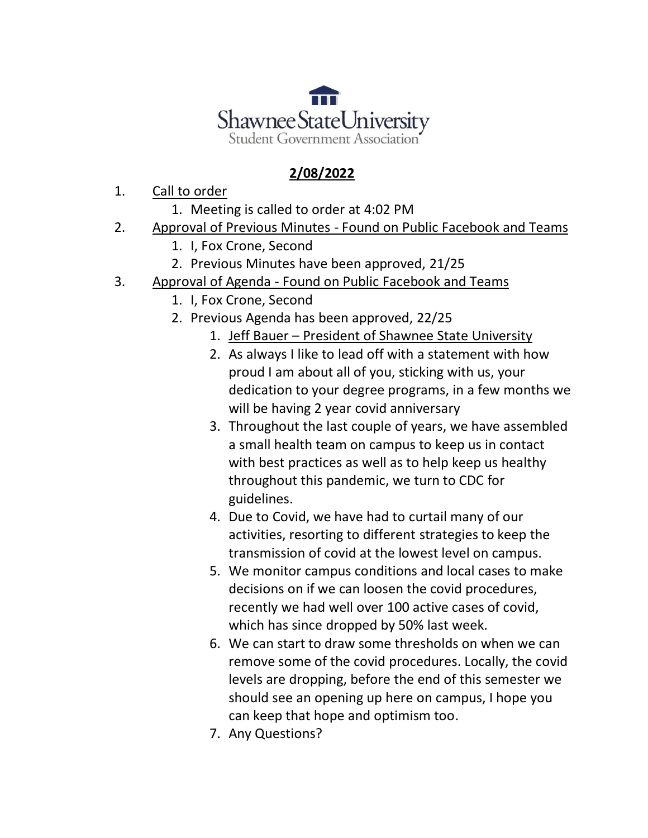

## **2/08/2022**

- 1. Call to order
	- 1. Meeting is called to order at 4:02 PM
- 2. Approval of Previous Minutes Found on Public Facebook and Teams
	- 1. I, Fox Crone, Second
	- 2. Previous Minutes have been approved, 21/25
- 3. Approval of Agenda Found on Public Facebook and Teams
	- 1. I, Fox Crone, Second
	- 2. Previous Agenda has been approved, 22/25
		- 1. Jeff Bauer President of Shawnee State University
		- 2. As always I like to lead off with a statement with how proud I am about all of you, sticking with us, your dedication to your degree programs, in a few months we will be having 2 year covid anniversary
		- 3. Throughout the last couple of years, we have assembled a small health team on campus to keep us in contact with best practices as well as to help keep us healthy throughout this pandemic, we turn to CDC for guidelines.
		- 4. Due to Covid, we have had to curtail many of our activities, resorting to different strategies to keep the transmission of covid at the lowest level on campus.
		- 5. We monitor campus conditions and local cases to make decisions on if we can loosen the covid procedures, recently we had well over 100 active cases of covid, which has since dropped by 50% last week.
		- 6. We can start to draw some thresholds on when we can remove some of the covid procedures. Locally, the covid levels are dropping, before the end of this semester we should see an opening up here on campus, I hope you can keep that hope and optimism too.
		- 7. Any Questions?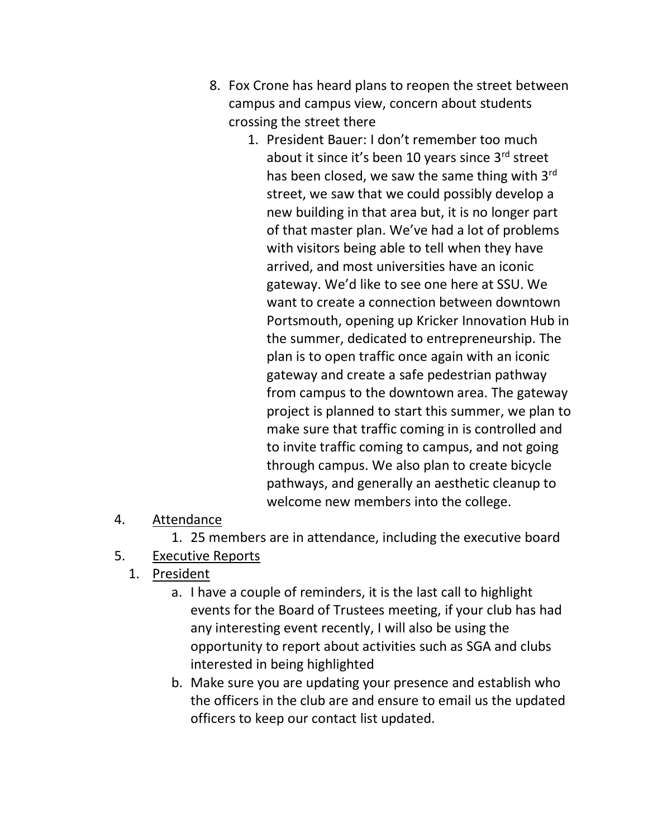- 8. Fox Crone has heard plans to reopen the street between campus and campus view, concern about students crossing the street there
	- 1. President Bauer: I don't remember too much about it since it's been 10 years since 3rd street has been closed, we saw the same thing with 3rd street, we saw that we could possibly develop a new building in that area but, it is no longer part of that master plan. We've had a lot of problems with visitors being able to tell when they have arrived, and most universities have an iconic gateway. We'd like to see one here at SSU. We want to create a connection between downtown Portsmouth, opening up Kricker Innovation Hub in the summer, dedicated to entrepreneurship. The plan is to open traffic once again with an iconic gateway and create a safe pedestrian pathway from campus to the downtown area. The gateway project is planned to start this summer, we plan to make sure that traffic coming in is controlled and to invite traffic coming to campus, and not going through campus. We also plan to create bicycle pathways, and generally an aesthetic cleanup to welcome new members into the college.
- 4. Attendance

1. 25 members are in attendance, including the executive board

- 5. Executive Reports
	- 1. President
		- a. I have a couple of reminders, it is the last call to highlight events for the Board of Trustees meeting, if your club has had any interesting event recently, I will also be using the opportunity to report about activities such as SGA and clubs interested in being highlighted
		- b. Make sure you are updating your presence and establish who the officers in the club are and ensure to email us the updated officers to keep our contact list updated.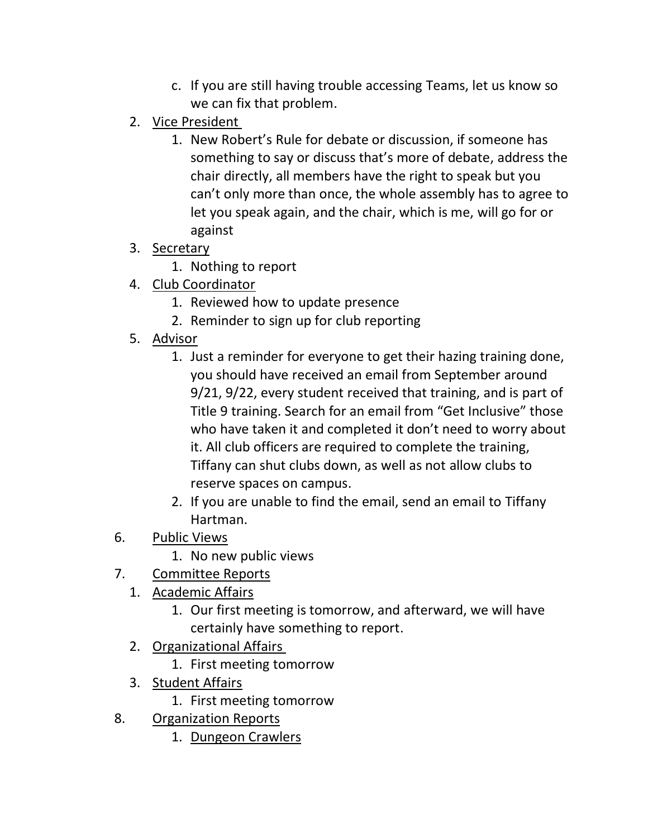- c. If you are still having trouble accessing Teams, let us know so we can fix that problem.
- 2. Vice President
	- 1. New Robert's Rule for debate or discussion, if someone has something to say or discuss that's more of debate, address the chair directly, all members have the right to speak but you can't only more than once, the whole assembly has to agree to let you speak again, and the chair, which is me, will go for or against
- 3. Secretary
	- 1. Nothing to report
- 4. Club Coordinator
	- 1. Reviewed how to update presence
	- 2. Reminder to sign up for club reporting
- 5. Advisor
	- 1. Just a reminder for everyone to get their hazing training done, you should have received an email from September around 9/21, 9/22, every student received that training, and is part of Title 9 training. Search for an email from "Get Inclusive" those who have taken it and completed it don't need to worry about it. All club officers are required to complete the training, Tiffany can shut clubs down, as well as not allow clubs to reserve spaces on campus.
	- 2. If you are unable to find the email, send an email to Tiffany Hartman.
- 6. Public Views
	- 1. No new public views
- 7. Committee Reports
	- 1. Academic Affairs
		- 1. Our first meeting is tomorrow, and afterward, we will have certainly have something to report.
	- 2. Organizational Affairs
		- 1. First meeting tomorrow
	- 3. Student Affairs
		- 1. First meeting tomorrow
- 8. Organization Reports
	- 1. Dungeon Crawlers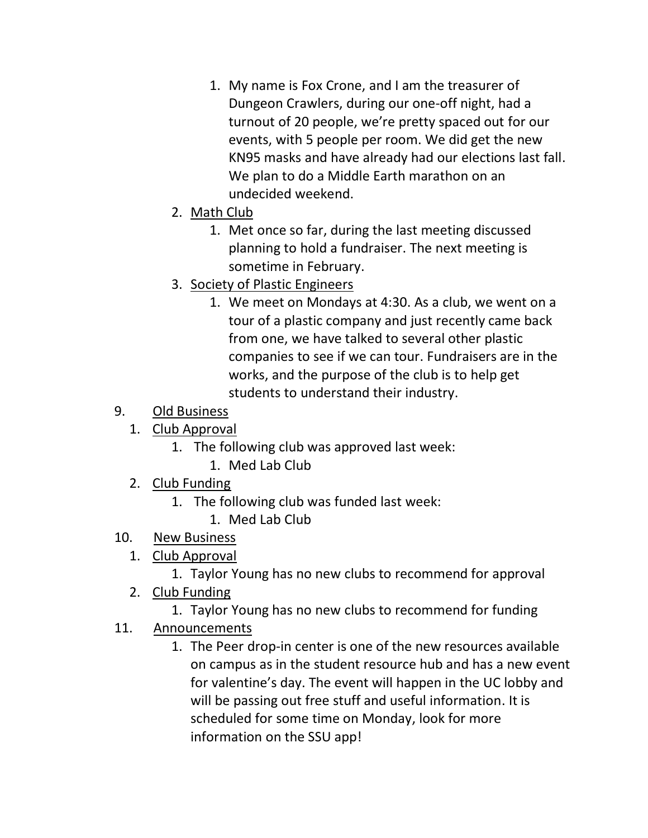- 1. My name is Fox Crone, and I am the treasurer of Dungeon Crawlers, during our one-off night, had a turnout of 20 people, we're pretty spaced out for our events, with 5 people per room. We did get the new KN95 masks and have already had our elections last fall. We plan to do a Middle Earth marathon on an undecided weekend.
- 2. Math Club
	- 1. Met once so far, during the last meeting discussed planning to hold a fundraiser. The next meeting is sometime in February.
- 3. Society of Plastic Engineers
	- 1. We meet on Mondays at 4:30. As a club, we went on a tour of a plastic company and just recently came back from one, we have talked to several other plastic companies to see if we can tour. Fundraisers are in the works, and the purpose of the club is to help get students to understand their industry.
- 9. Old Business
	- 1. Club Approval
		- 1. The following club was approved last week:
			- 1. Med Lab Club
	- 2. Club Funding
		- 1. The following club was funded last week:
			- 1. Med Lab Club
- 10. New Business
	- 1. Club Approval
		- 1. Taylor Young has no new clubs to recommend for approval
	- 2. Club Funding
		- 1. Taylor Young has no new clubs to recommend for funding
- 11. Announcements
	- 1. The Peer drop-in center is one of the new resources available on campus as in the student resource hub and has a new event for valentine's day. The event will happen in the UC lobby and will be passing out free stuff and useful information. It is scheduled for some time on Monday, look for more information on the SSU app!